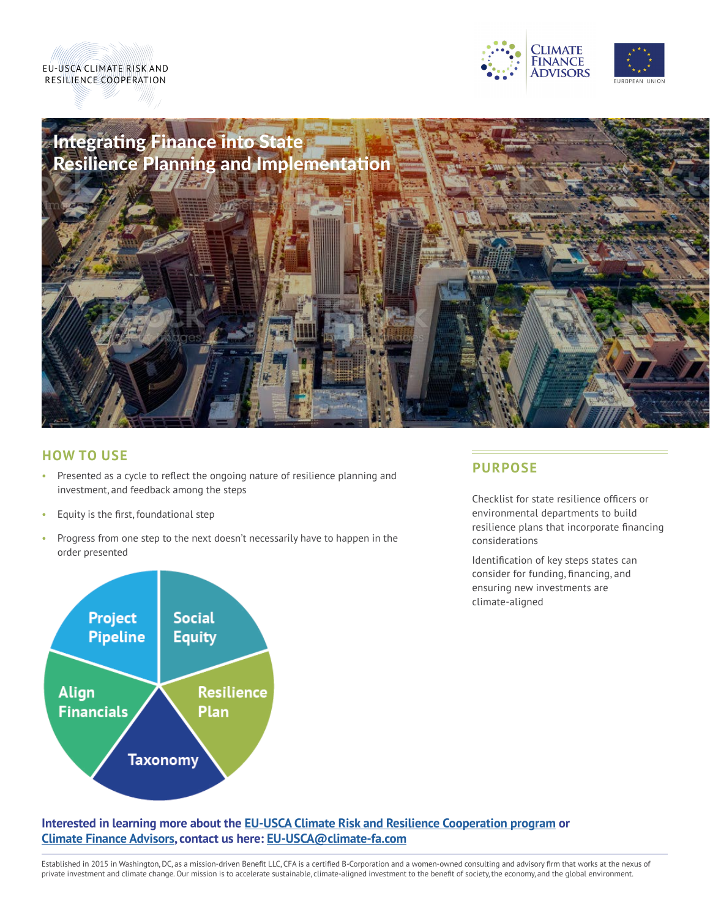





### **HOW TO USE**

- Presented as a cycle to reflect the ongoing nature of resilience planning and investment, and feedback among the steps
- Equity is the first, foundational step
- Progress from one step to the next doesn't necessarily have to happen in the order presented



### **PURPOSE**

Checklist for state resilience officers or environmental departments to build resilience plans that incorporate financing considerations

Identification of key steps states can consider for funding, financing, and ensuring new investments are climate-aligned

### **Interested in learning more about the [EU-USCA Climate Risk](https://climatefinanceadvisors.com/eu-usca/) and Resilience Cooperation program or [Climate Finance Advisors,](https://climatefinanceadvisors.com/) contact us here: [EU-USCA@climate-fa.com](mailto:EU-USCA%40climate-fa.com?subject=)**

Established in 2015 in Washington, DC, as a mission-driven Benefit LLC, CFA is a certified B-Corporation and a women-owned consulting and advisory firm that works at the nexus of private investment and climate change. Our mission is to accelerate sustainable, climate-aligned investment to the benefit of society, the economy, and the global environment.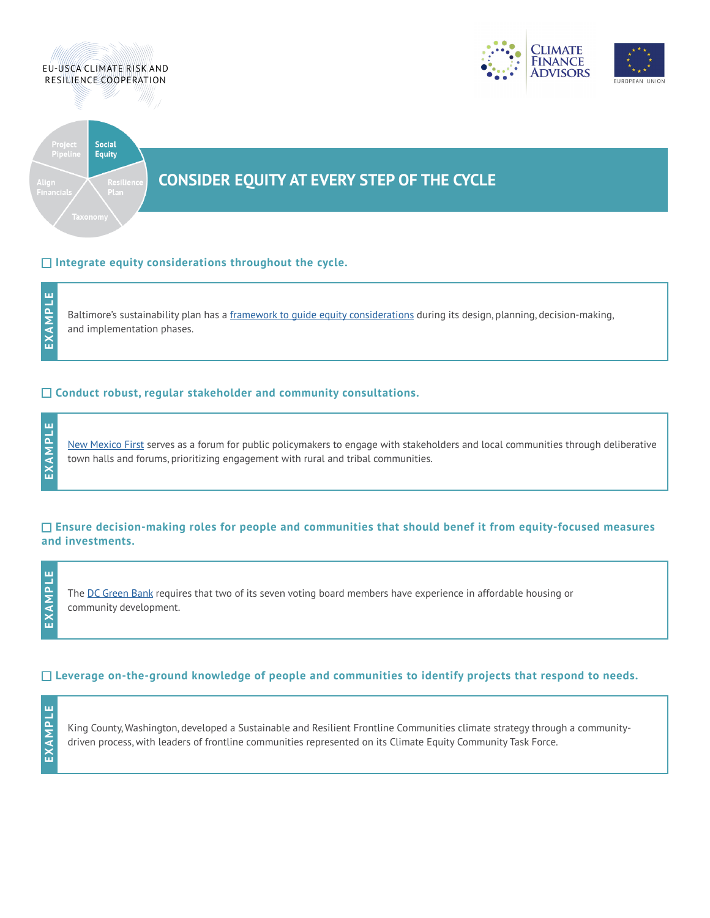

### **Integrate equity considerations throughout the cycle.**

ш **EXAMPLE** EXAMPL

**EXAMPLE**

EXAMPI

Щ

Baltimore's sustainability plan has a [framework to guide equity considerations](https://www.baltimoresustainability.org/wp-content/uploads/2019/02/Sustainability-Plan_Ch6-Ch7.pdf) during its design, planning, decision-making, and implementation phases.

### **Conduct robust, regular stakeholder and community consultations.**

[New Mexico First](https://nmfirst.org/) serves as a forum for public policymakers to engage with stakeholders and local communities through deliberative town halls and forums, prioritizing engagement with rural and tribal communities.

### **Ensure decision-making roles for people and communities that should benef it from equity-focused measures and investments.**

in. **EXAMPLE** EXAMPL

The [DC Green Bank](https://www.dcclimate.org/wp-content/uploads/2019/04/350-Green-Bank-Implementation-Campaign-One-Pager.pdf) requires that two of its seven voting board members have experience in affordable housing or community development.

### **Leverage on-the-ground knowledge of people and communities to identify projects that respond to needs.**

ш **EXAMPLE**EXAMPL

King County, Washington, developed a Sustainable and Resilient Frontline Communities climate strategy through a communitydriven process, with leaders of frontline communities represented on its Climate Equity Community Task Force.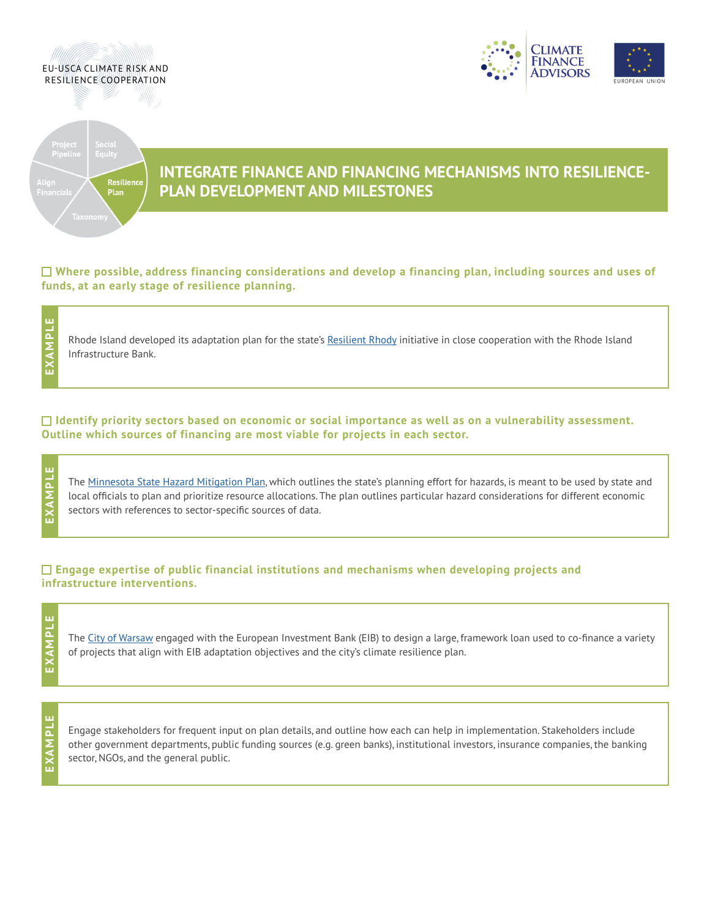





# **INTEGRATE FINANCE AND FINANCING MECHANISMS INTO RESILIENCE- PLAN DEVELOPMENT AND MILESTONES**

**Where possible, address financing considerations and develop a financing plan, including sources and uses of funds, at an early stage of resilience planning.**

Rhode Island developed its adaptation plan for the state's [Resilient Rhody](https://www.riib.org/ResilientRhody) initiative in close cooperation with the Rhode Island Infrastructure Bank.

### **Identify priority sectors based on economic or social importance as well as on a vulnerability assessment. Outline which sources of financing are most viable for projects in each sector.**

The [Minnesota State Hazard Mitigation Plan,](https://dps.mn.gov/divisions/hsem/hazard-mitigation/Documents/2019-mn-hmp-only.pdf) which outlines the state's planning effort for hazards, is meant to be used by state and local officials to plan and prioritize resource allocations. The plan outlines particular hazard considerations for different economic sectors with references to sector-specific sources of data.

### **Engage expertise of public financial institutions and mechanisms when developing projects and infrastructure interventions.**

**EXAMPLE** XAMPL m

**EXAMPLE**

EXAM

ů. d

**EXAMPLE**

EXAMPL

ù.

The [City of Warsaw](https://www.eib.org/attachments/registers/123268620.pdf) engaged with the European Investment Bank (EIB) to design a large, framework loan used to co-finance a variety of projects that align with EIB adaptation objectives and the city's climate resilience plan.

**EXAMPLE**EXAMPL

Engage stakeholders for frequent input on plan details, and outline how each can help in implementation. Stakeholders include other government departments, public funding sources (e.g. green banks), institutional investors, insurance companies, the banking sector, NGOs, and the general public.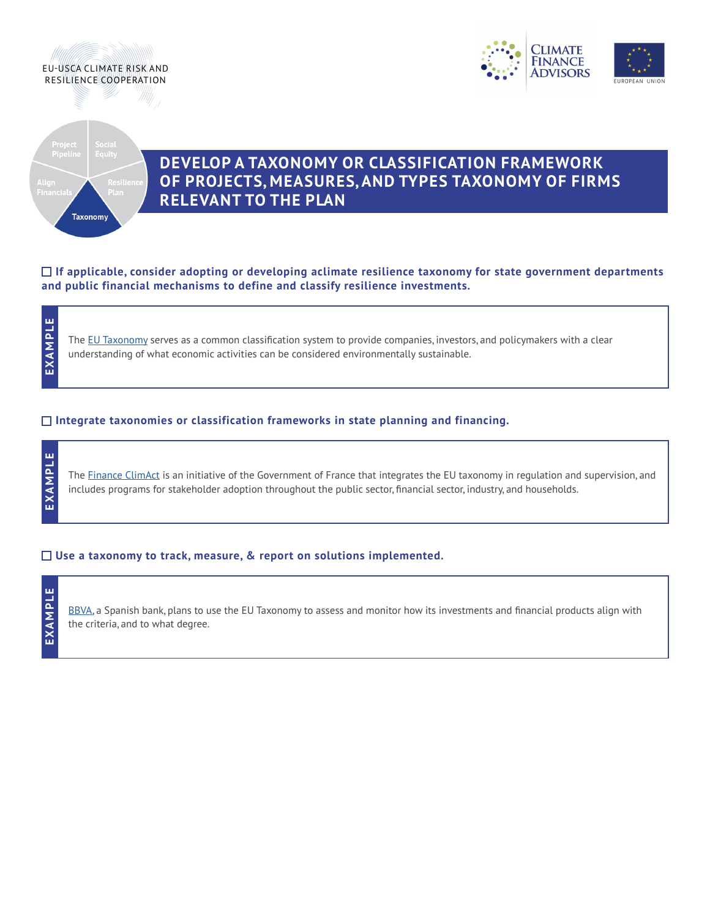





## **DEVELOP A TAXONOMY OR CLASSIFICATION FRAMEWORK OF PROJECTS, MEASURES, AND TYPES TAXONOMY OF FIRMS**<br> **RELEVANT TO THE PLAN**

**If applicable, consider adopting or developing aclimate resilience taxonomy for state government departments and public financial mechanisms to define and classify resilience investments.**

The [EU Taxonomy](https://ec.europa.eu/info/sites/default/files/business_economy_euro/banking_and_finance/documents/200309-sustainable-finance-teg-final-report-taxonomy_en.pdf) serves as a common classification system to provide companies, investors, and policymakers with a clear understanding of what economic activities can be considered environmentally sustainable.

### **Integrate taxonomies or classification frameworks in state planning and financing.**

**EXAMPLE EXAMPLE**

**EXAMPLE**

EXAMPL

ш

The [Finance ClimAct](https://finance-climact.eu/project-description/) is an initiative of the Government of France that integrates the EU taxonomy in regulation and supervision, and includes programs for stakeholder adoption throughout the public sector, financial sector, industry, and households.

### **Use a taxonomy to track, measure, & report on solutions implemented.**

### ш **EXAMPLE**EXAMPL

[BBVA,](https://www.bbva.com/en/sustainability/what-is-the-taxonomy-for-sustainable-finance/) a Spanish bank, plans to use the EU Taxonomy to assess and monitor how its investments and financial products align with the criteria, and to what degree.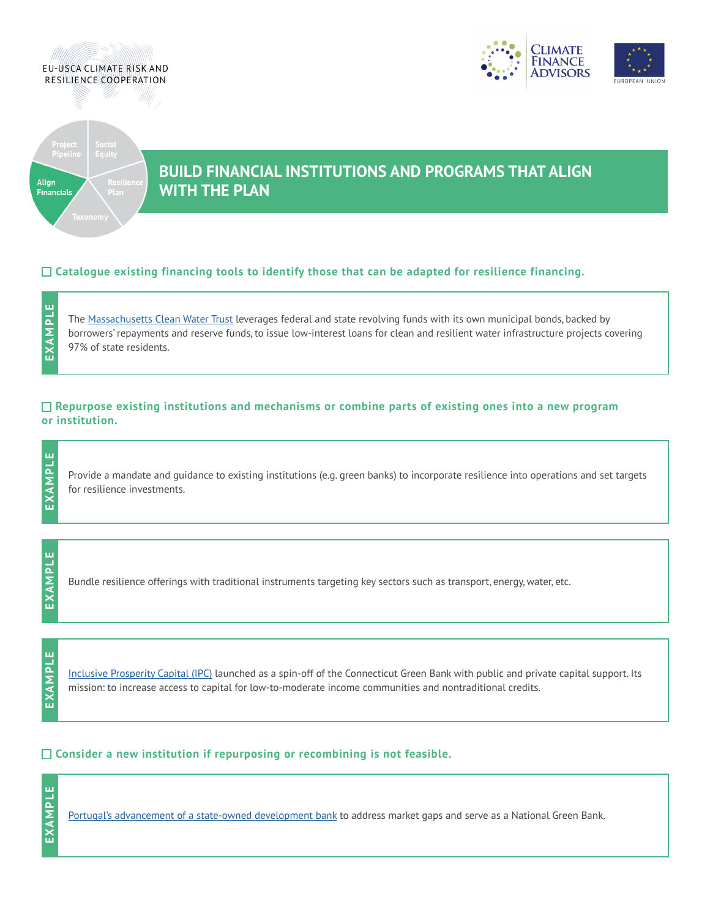





# **BUILD FINANCIAL INSTITUTIONS AND PROGRAMS THAT ALIGN**<br>Financials **WITH THE PLAN**

### **Catalogue existing financing tools to identify those that can be adapted for resilience financing.**

ш **EXAMPLE** EXAMPL

**EXAMPLE**

EXAMPL

ш

The [Massachusetts Clean Water Trust](https://www.mass.gov/orgs/the-massachusetts-clean-water-trust) leverages federal and state revolving funds with its own municipal bonds, backed by borrowers' repayments and reserve funds, to issue low-interest loans for clean and resilient water infrastructure projects covering 97% of state residents.

### **Repurpose existing institutions and mechanisms or combine parts of existing ones into a new program or institution.**

Provide a mandate and guidance to existing institutions (e.g. green banks) to incorporate resilience into operations and set targets for resilience investments.

Bundle resilience offerings with traditional instruments targeting key sectors such as transport, energy, water, etc.

EXAMPLE **EXAMPLE**

**EXAMPLE**

EXAMPLE

[Inclusive Prosperity Capital \(IPC\)](https://www.inclusiveprosperitycapital.org/) launched as a spin-off of the Connecticut Green Bank with public and private capital support. Its mission: to increase access to capital for low-to-moderate income communities and nontraditional credits.

### **Consider a new institution if repurposing or recombining is not feasible.**



[Portugal's advancement of a state-owned development bank](https://www.reuters.com/article/us-portugal-development-bank/portugal-pushes-ahead-with-plans-for-state-owned-development-bank-idUSKBN23P30W) to address market gaps and serve as a National Green Bank.